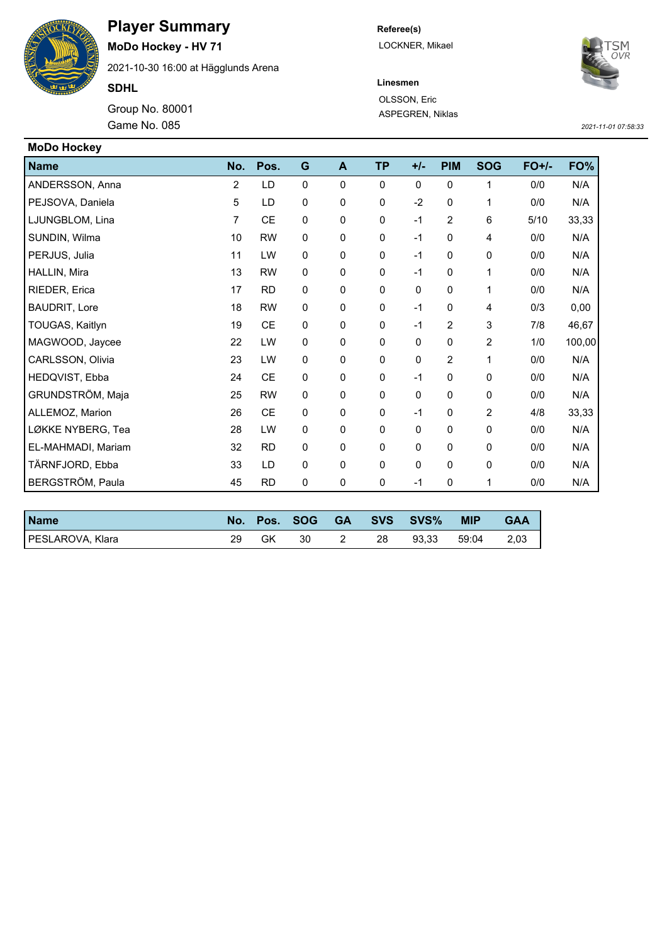

## **Player Summary**

**MoDo Hockey - HV 71**

2021-10-30 16:00 at Hägglunds Arena

**SDHL**

Game No. 085 Group No. 80001 **Referee(s)** LOCKNER, Mikael



**Linesmen** OLSSON, Eric ASPEGREN, Niklas

*2021-11-01 07:58:33*

| <b>MoDo Hockey</b>   |     |           |              |   |              |             |                |                |         |        |
|----------------------|-----|-----------|--------------|---|--------------|-------------|----------------|----------------|---------|--------|
| <b>Name</b>          | No. | Pos.      | G            | A | <b>TP</b>    | $+/-$       | <b>PIM</b>     | <b>SOG</b>     | $FO+/-$ | FO%    |
| ANDERSSON, Anna      | 2   | LD        | $\mathbf{0}$ | 0 | $\mathbf{0}$ | $\Omega$    | $\mathbf 0$    | 1              | 0/0     | N/A    |
| PEJSOVA, Daniela     | 5   | LD        | 0            | 0 | $\mathbf 0$  | $-2$        | 0              | 1              | 0/0     | N/A    |
| LJUNGBLOM, Lina      | 7   | <b>CE</b> | 0            | 0 | 0            | $-1$        | $\overline{2}$ | 6              | 5/10    | 33,33  |
| SUNDIN, Wilma        | 10  | <b>RW</b> | 0            | 0 | 0            | $-1$        | 0              | 4              | 0/0     | N/A    |
| PERJUS, Julia        | 11  | LW        | $\mathbf 0$  | 0 | $\mathbf 0$  | $-1$        | 0              | 0              | 0/0     | N/A    |
| HALLIN, Mira         | 13  | <b>RW</b> | 0            | 0 | 0            | $-1$        | $\mathbf 0$    | 1              | 0/0     | N/A    |
| RIEDER, Erica        | 17  | <b>RD</b> | 0            | 0 | $\mathbf 0$  | 0           | $\mathbf 0$    | 1              | 0/0     | N/A    |
| <b>BAUDRIT, Lore</b> | 18  | <b>RW</b> | 0            | 0 | $\mathbf 0$  | $-1$        | 0              | 4              | 0/3     | 0,00   |
| TOUGAS, Kaitlyn      | 19  | <b>CE</b> | 0            | 0 | $\mathbf 0$  | $-1$        | 2              | 3              | 7/8     | 46,67  |
| MAGWOOD, Jaycee      | 22  | LW        | 0            | 0 | $\mathbf 0$  | $\mathbf 0$ | $\mathbf 0$    | 2              | 1/0     | 100,00 |
| CARLSSON, Olivia     | 23  | LW        | 0            | 0 | 0            | 0           | 2              | 1              | 0/0     | N/A    |
| HEDQVIST, Ebba       | 24  | <b>CE</b> | 0            | 0 | $\mathbf 0$  | $-1$        | 0              | 0              | 0/0     | N/A    |
| GRUNDSTRÖM, Maja     | 25  | <b>RW</b> | 0            | 0 | $\mathbf 0$  | $\mathbf 0$ | 0              | 0              | 0/0     | N/A    |
| ALLEMOZ, Marion      | 26  | <b>CE</b> | 0            | 0 | $\mathbf 0$  | $-1$        | 0              | $\overline{2}$ | 4/8     | 33,33  |
| LØKKE NYBERG, Tea    | 28  | LW        | 0            | 0 | $\mathbf 0$  | $\Omega$    | $\mathbf 0$    | 0              | 0/0     | N/A    |
| EL-MAHMADI, Mariam   | 32  | <b>RD</b> | 0            | 0 | $\mathbf 0$  | $\mathbf 0$ | 0              | 0              | 0/0     | N/A    |
| TÄRNFJORD, Ebba      | 33  | LD        | 0            | 0 | 0            | 0           | $\mathbf 0$    | 0              | 0/0     | N/A    |
| BERGSTRÖM, Paula     | 45  | <b>RD</b> | 0            | 0 | $\pmb{0}$    | $-1$        | $\mathbf 0$    | 1              | 0/0     | N/A    |

| <b>Name</b>      |    | No. Pos. | SOG <b>SOG</b> | <b>GA</b> |    | SVS SVS% | <b>MIP</b> | <b>GAA</b> |
|------------------|----|----------|----------------|-----------|----|----------|------------|------------|
| PESLAROVA, Klara | 29 | GK       | 30             |           | 28 | 93.33    | 59:04      | 2,03       |